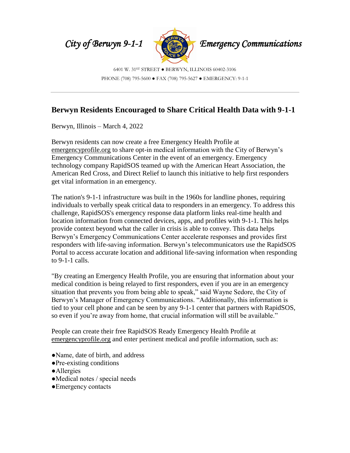

6401 W. 31ST STREET ● BERWYN, ILLINOIS 60402-3106 PHONE (708) 795-5600 ● FAX (708) 795-5627 ● EMERGENCY: 9-1-1

## **Berwyn Residents Encouraged to Share Critical Health Data with 9-1-1**

Berwyn, Illinois – March 4, 2022

Berwyn residents can now create a free Emergency Health Profile at emergencyprofile.org to share opt-in medical information with the City of Berwyn's Emergency Communications Center in the event of an emergency. Emergency technology company RapidSOS teamed up with the American Heart Association, the American Red Cross, and Direct Relief to launch this initiative to help first responders get vital information in an emergency.

The nation's 9-1-1 infrastructure was built in the 1960s for landline phones, requiring individuals to verbally speak critical data to responders in an emergency. To address this challenge, RapidSOS's emergency response data platform links real-time health and location information from connected devices, apps, and profiles with 9-1-1. This helps provide context beyond what the caller in crisis is able to convey. This data helps Berwyn's Emergency Communications Center accelerate responses and provides first responders with life-saving information. Berwyn's telecommunicators use the RapidSOS Portal to access accurate location and additional life-saving information when responding to 9-1-1 calls.

"By creating an Emergency Health Profile, you are ensuring that information about your medical condition is being relayed to first responders, even if you are in an emergency situation that prevents you from being able to speak," said Wayne Sedore, the City of Berwyn's Manager of Emergency Communications. "Additionally, this information is tied to your cell phone and can be seen by any 9-1-1 center that partners with RapidSOS, so even if you're away from home, that crucial information will still be available."

People can create their free RapidSOS Ready Emergency Health Profile at emergencyprofile.org and enter pertinent medical and profile information, such as:

- ●Name, date of birth, and address
- ●Pre-existing conditions
- ●Allergies
- ●Medical notes / special needs
- ●Emergency contacts